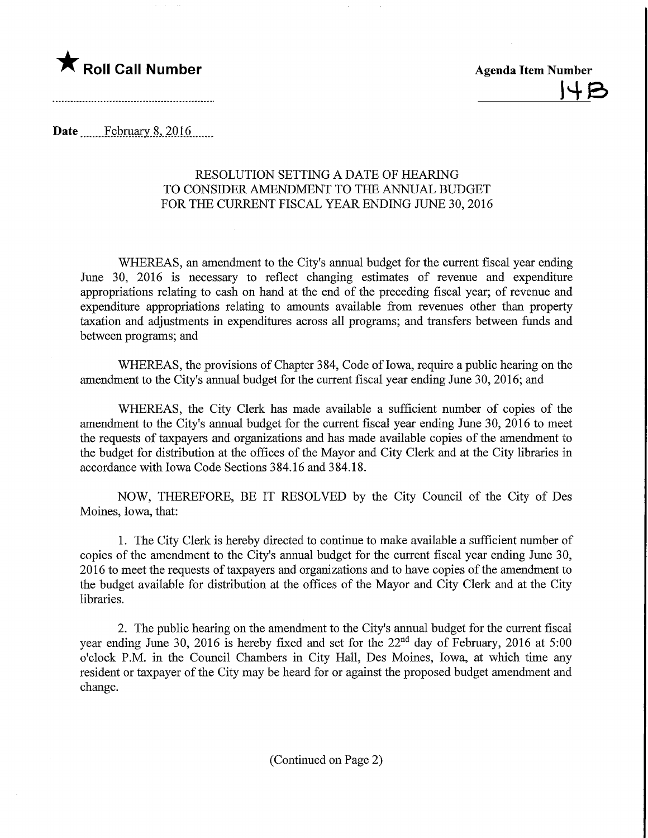## **The Roll Call Number** Agenda Item Number

 $|4B$ 

Date February 8, 2016

## RESOLUTION SETTING A DATE OF HEARING TO CONSIDER AMENDMENT TO THE ANNUAL BUDGET FOR THE CURRENT FISCAL YEAR ENDING JUNE 30, 2016

WHEREAS, an amendment to the City's annual budget for the current fiscal year ending June 30, 2016 is necessary to reflect changing estimates of revenue and expenditure appropriations relating to cash on hand at the end of the preceding fiscal year; of revenue and expenditure appropriations relating to amounts available from revenues other than property taxation and adjustments in expenditures across all programs; and transfers between funds and between programs; and

WHEREAS, the provisions of Chapter 384, Code of Iowa, require a public hearing on the amendment to the City's annual budget for the current fiscal year ending June 30, 2016; and

WHEREAS, the City Clerk has made available a sufficient number of copies of the amendment to the City's annual budget for the current fiscal year ending June 30, 2016 to meet the requests of taxpayers and organizations and has made available copies of the amendment to the budget for distribution at the offices of the Mayor and City Clerk and at the City libraries in accordance with Iowa Code Sections 384.16 and 384.18.

NOW, THEREFORE, BE IT RESOLVED by the City Council of the City of Des Moines, Iowa, that:

1. The City Clerk is hereby directed to continue to make available a sufficient number of copies of the amendment to the City's annual budget for the current fiscal year ending June 30, 2016 to meet the requests of taxpayers and organizations and to have copies of the amendment to the budget available for distribution at the offices of the Mayor and City Clerk and at the City libraries.

2. The public hearing on the amendment to the City's annual budget for the current fiscal year ending June 30, 2016 is hereby fixed and set for the  $22<sup>nd</sup>$  day of February, 2016 at 5:00 o'clock P.M. in the Council Chambers in City Hall, Des Moines, Iowa, at which time any resident or taxpayer of the City may be heard for or against the proposed budget amendment and change.